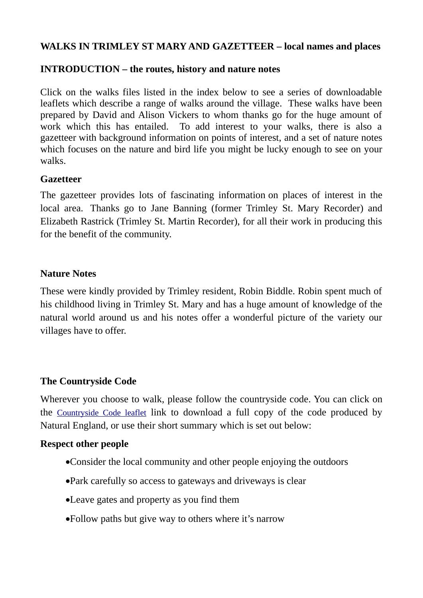# **WALKS IN TRIMLEY ST MARY AND GAZETTEER – local names and places**

### **INTRODUCTION – the routes, history and nature notes**

Click on the walks files listed in the index below to see a series of downloadable leaflets which describe a range of walks around the village. These walks have been prepared by David and Alison Vickers to whom thanks go for the huge amount of work which this has entailed. To add interest to your walks, there is also a gazetteer with background information on points of interest, and a set of nature notes which focuses on the nature and bird life you might be lucky enough to see on your walks.

### **Gazetteer**

The gazetteer provides lots of fascinating information on places of interest in the local area. Thanks go to Jane Banning (former Trimley St. Mary Recorder) and Elizabeth Rastrick (Trimley St. Martin Recorder), for all their work in producing this for the benefit of the community.

### **Nature Notes**

These were kindly provided by Trimley resident, Robin Biddle. Robin spent much of his childhood living in Trimley St. Mary and has a huge amount of knowledge of the natural world around us and his notes offer a wonderful picture of the variety our villages have to offer.

### **The Countryside Code**

Wherever you choose to walk, please follow the countryside code. You can click on the [Countryside Code leaflet](http://trimleystmartin.onesuffolk.net/assets/Uploads/countryside-code-leaflet.pdf) link to download a full copy of the code produced by Natural England, or use their short summary which is set out below:

#### **Respect other people**

- Consider the local community and other people enjoying the outdoors
- Park carefully so access to gateways and driveways is clear
- Leave gates and property as you find them
- Follow paths but give way to others where it's narrow